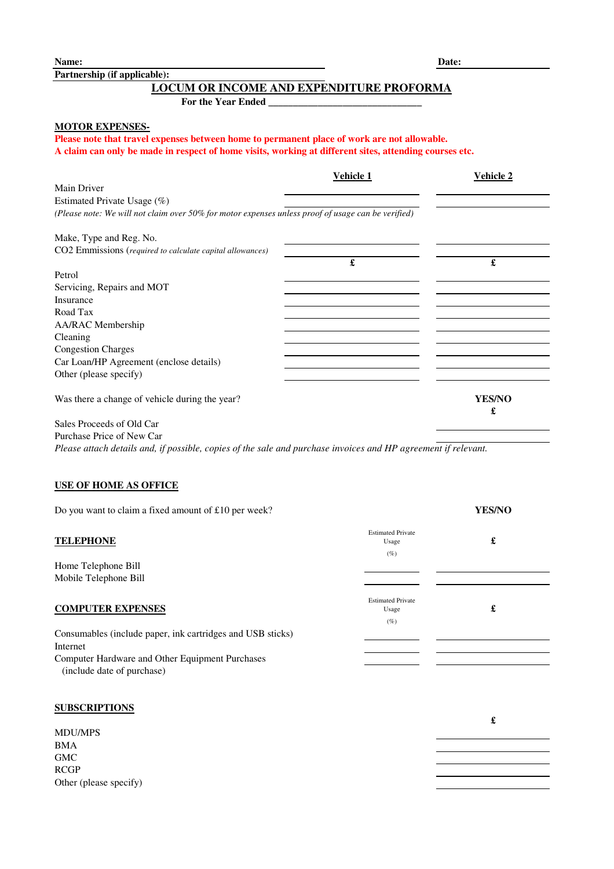**Name: Date:** 

**Partnership (if applicable):**

## **LOCUM OR INCOME AND EXPENDITURE PROFORMA**

**For the Year Ended \_\_\_\_\_\_\_\_\_\_\_\_\_\_\_\_\_\_\_\_\_\_\_\_\_\_\_\_\_\_\_**

#### **MOTOR EXPENSES-**

**Please note that travel expenses between home to permanent place of work are not allowable. A claim can only be made in respect of home visits, working at different sites, attending courses etc.**

|                                                                                                    | <b>Vehicle 1</b> | <b>Vehicle 2</b>   |
|----------------------------------------------------------------------------------------------------|------------------|--------------------|
| Main Driver                                                                                        |                  |                    |
| Estimated Private Usage (%)                                                                        |                  |                    |
| (Please note: We will not claim over 50% for motor expenses unless proof of usage can be verified) |                  |                    |
| Make, Type and Reg. No.                                                                            |                  |                    |
| CO2 Emmissions (required to calculate capital allowances)                                          |                  |                    |
|                                                                                                    | £                | £                  |
| Petrol                                                                                             |                  |                    |
| Servicing, Repairs and MOT                                                                         |                  |                    |
| Insurance                                                                                          |                  |                    |
| Road Tax                                                                                           |                  |                    |
| <b>AA/RAC</b> Membership                                                                           |                  |                    |
| Cleaning                                                                                           |                  |                    |
| <b>Congestion Charges</b>                                                                          |                  |                    |
| Car Loan/HP Agreement (enclose details)                                                            |                  |                    |
| Other (please specify)                                                                             |                  |                    |
| Was there a change of vehicle during the year?                                                     |                  | <b>YES/NO</b><br>£ |
| Sales Proceeds of Old Car                                                                          |                  |                    |

Purchase Price of New Car

*Please attach details and, if possible, copies of the sale and purchase invoices and HP agreement if relevant.*

#### **USE OF HOME AS OFFICE**

| Do you want to claim a fixed amount of £10 per week?       |                                             | <b>YES/NO</b> |
|------------------------------------------------------------|---------------------------------------------|---------------|
| <b>TELEPHONE</b>                                           | <b>Estimated Private</b><br>Usage<br>$(\%)$ | £             |
| Home Telephone Bill                                        |                                             |               |
| Mobile Telephone Bill                                      |                                             |               |
| <b>COMPUTER EXPENSES</b>                                   | <b>Estimated Private</b><br>Usage<br>$(\%)$ | £             |
| Consumables (include paper, ink cartridges and USB sticks) |                                             |               |
| Internet                                                   |                                             |               |
| Computer Hardware and Other Equipment Purchases            |                                             |               |
| (include date of purchase)                                 |                                             |               |

### **SUBSCRIPTIONS**

|                        | £ |
|------------------------|---|
| MDU/MPS                |   |
| <b>BMA</b>             |   |
| ${\rm GMC}$            |   |
| RCGP                   |   |
| Other (please specify) |   |